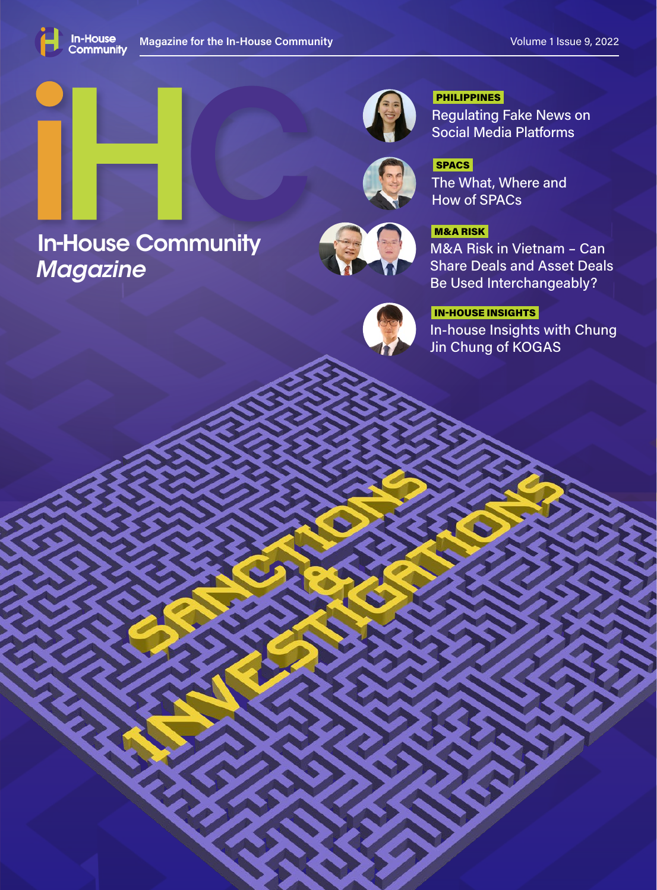

*Magazine*

# **In-House Community Manual Report of the MANUSH M8A Risk in Vietnam - Can**



Regulating Fake News on Social Media Platforms PHILIPPINES

The What, Where and How of SPACs **SPACS** 

# M&A RISK

Share Deals and Asset Deals Be Used Interchangeably?



# In-house Insights with Chung IN-HOUSE INSIGHTS

Jin Chung of KOGAS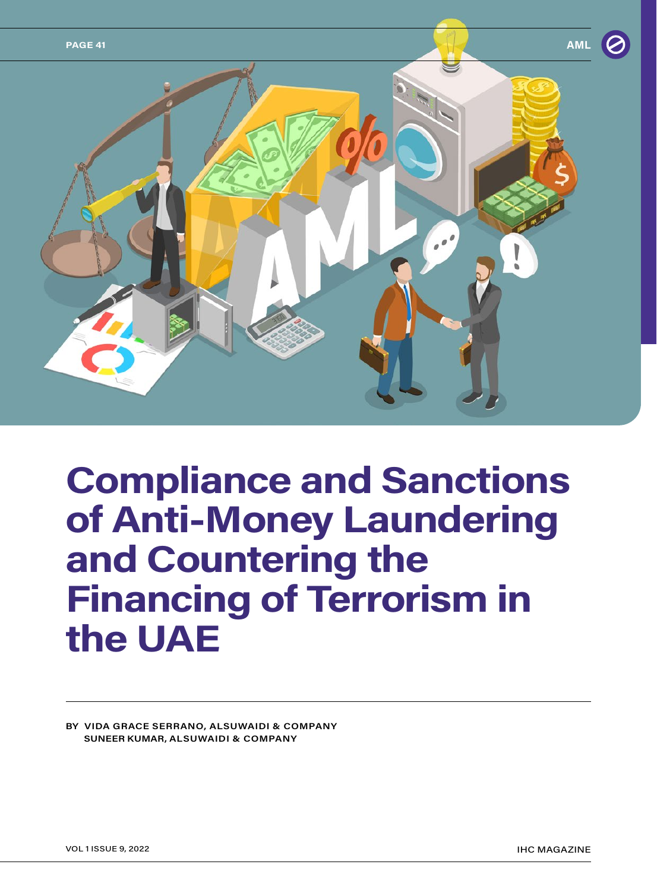

# **Compliance and Sanctions of Anti-Money Laundering and Countering the Financing of Terrorism in the UAE**

**BY VIDA GRACE SERRANO, ALSUWAIDI & COMPANY SUNEER KUMAR, ALSUWAIDI & COMPANY**

VOL 1 ISSUE 9, 2022 IHC MAGAZINE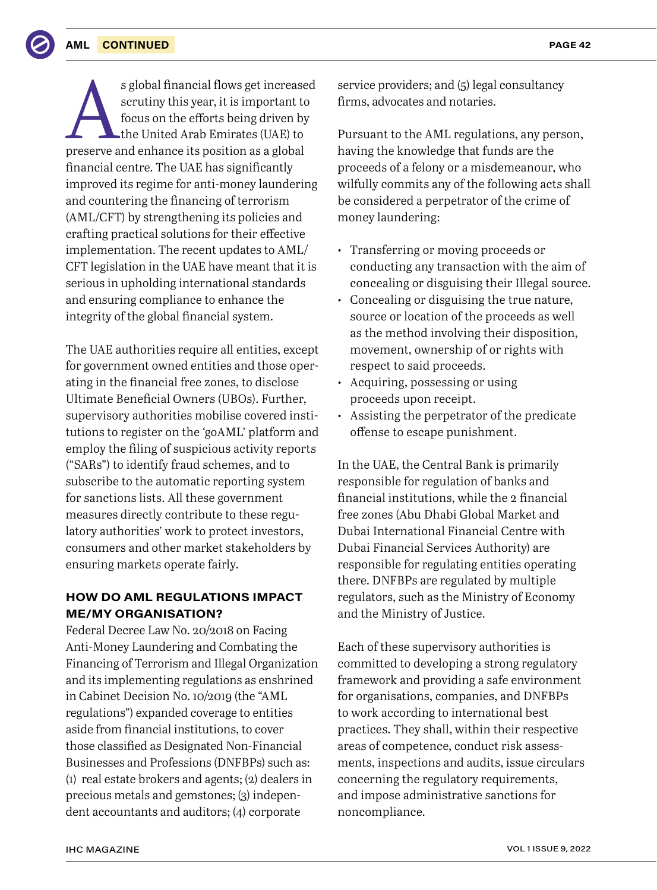#### **AML CONTINUED**

s global financial flows get increased<br>
scrutiny this year, it is important to<br>
focus on the efforts being driven by<br>
the United Arab Emirates (UAE) to<br>
preserve and enhance its position as a global scrutiny this year, it is important to focus on the efforts being driven by the United Arab Emirates (UAE) to financial centre. The UAE has significantly improved its regime for anti-money laundering and countering the financing of terrorism (AML/CFT) by strengthening its policies and crafting practical solutions for their effective implementation. The recent updates to AML/ CFT legislation in the UAE have meant that it is serious in upholding international standards and ensuring compliance to enhance the integrity of the global financial system.

The UAE authorities require all entities, except for government owned entities and those operating in the financial free zones, to disclose Ultimate Beneficial Owners (UBOs). Further, supervisory authorities mobilise covered institutions to register on the 'goAML' platform and employ the filing of suspicious activity reports ("SARs") to identify fraud schemes, and to subscribe to the automatic reporting system for sanctions lists. All these government measures directly contribute to these regulatory authorities' work to protect investors, consumers and other market stakeholders by ensuring markets operate fairly.

# **HOW DO AML REGULATIONS IMPACT ME/MY ORGANISATION?**

Federal Decree Law No. 20/2018 on Facing Anti-Money Laundering and Combating the Financing of Terrorism and Illegal Organization and its implementing regulations as enshrined in Cabinet Decision No. 10/2019 (the "AML regulations") expanded coverage to entities aside from financial institutions, to cover those classified as Designated Non-Financial Businesses and Professions (DNFBPs) such as: (1) real estate brokers and agents; (2) dealers in precious metals and gemstones; (3) independent accountants and auditors; (4) corporate

service providers; and (5) legal consultancy firms, advocates and notaries.

Pursuant to the AML regulations, any person, having the knowledge that funds are the proceeds of a felony or a misdemeanour, who wilfully commits any of the following acts shall be considered a perpetrator of the crime of money laundering:

- Transferring or moving proceeds or conducting any transaction with the aim of concealing or disguising their Illegal source.
- Concealing or disguising the true nature, source or location of the proceeds as well as the method involving their disposition, movement, ownership of or rights with respect to said proceeds.
- Acquiring, possessing or using proceeds upon receipt.
- Assisting the perpetrator of the predicate offense to escape punishment.

In the UAE, the Central Bank is primarily responsible for regulation of banks and financial institutions, while the 2 financial free zones (Abu Dhabi Global Market and Dubai International Financial Centre with Dubai Financial Services Authority) are responsible for regulating entities operating there. DNFBPs are regulated by multiple regulators, such as the Ministry of Economy and the Ministry of Justice.

Each of these supervisory authorities is committed to developing a strong regulatory framework and providing a safe environment for organisations, companies, and DNFBPs to work according to international best practices. They shall, within their respective areas of competence, conduct risk assessments, inspections and audits, issue circulars concerning the regulatory requirements, and impose administrative sanctions for noncompliance.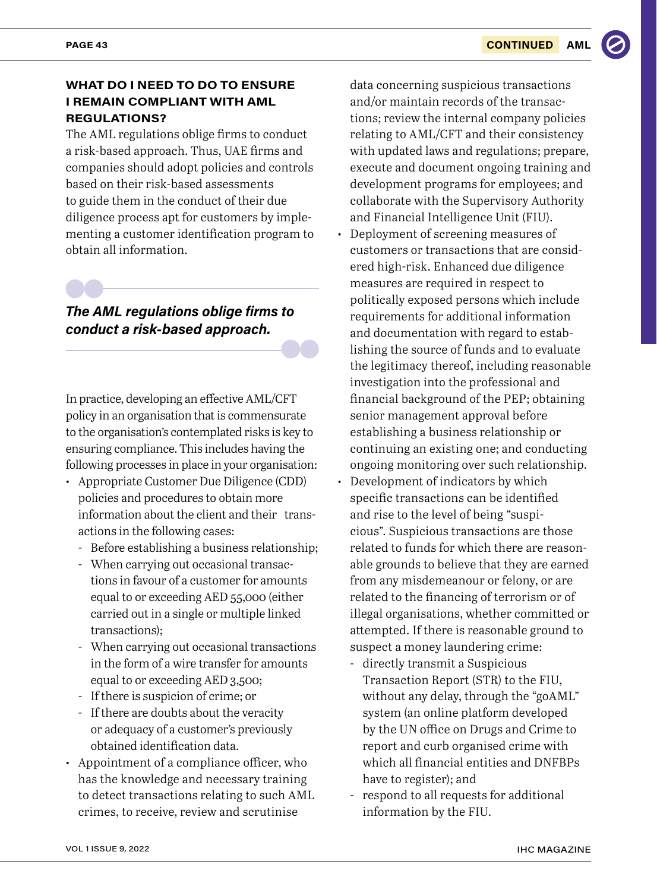# **WHAT DO I NEED TO DO TO ENSURE I REMAIN COMPLIANT WITH AML REGULATIONS?**

The AML regulations oblige firms to conduct a risk-based approach. Thus, UAE firms and companies should adopt policies and controls based on their risk-based assessments to guide them in the conduct of their due diligence process apt for customers by implementing a customer identification program to obtain all information.

# *The AML regulations oblige firms to conduct a risk-based approach.*

In practice, developing an effective AML/CFT policy in an organisation that is commensurate to the organisation's contemplated risks is key to ensuring compliance. This includes having the following processes in place in your organisation:

- Appropriate Customer Due Diligence (CDD) policies and procedures to obtain more information about the client and their transactions in the following cases:
	- Before establishing a business relationship;
	- When carrying out occasional transactions in favour of a customer for amounts equal to or exceeding AED 55,000 (either carried out in a single or multiple linked transactions);
	- When carrying out occasional transactions in the form of a wire transfer for amounts equal to or exceeding AED 3,500;
	- If there is suspicion of crime; or
	- If there are doubts about the veracity or adequacy of a customer's previously obtained identification data.
- Appointment of a compliance officer, who has the knowledge and necessary training to detect transactions relating to such AML crimes, to receive, review and scrutinise

data concerning suspicious transactions and/or maintain records of the transactions; review the internal company policies relating to AML/CFT and their consistency with updated laws and regulations; prepare, execute and document ongoing training and development programs for employees; and collaborate with the Supervisory Authority and Financial Intelligence Unit (FIU).

- Deployment of screening measures of customers or transactions that are considered high-risk. Enhanced due diligence measures are required in respect to politically exposed persons which include requirements for additional information and documentation with regard to establishing the source of funds and to evaluate the legitimacy thereof, including reasonable investigation into the professional and financial background of the PEP; obtaining senior management approval before establishing a business relationship or continuing an existing one; and conducting ongoing monitoring over such relationship.
- Development of indicators by which specific transactions can be identified and rise to the level of being "suspicious". Suspicious transactions are those related to funds for which there are reasonable grounds to believe that they are earned from any misdemeanour or felony, or are related to the financing of terrorism or of illegal organisations, whether committed or attempted. If there is reasonable ground to suspect a money laundering crime:
	- directly transmit a Suspicious Transaction Report (STR) to the FIU, without any delay, through the "goAML" system (an online platform developed by the UN office on Drugs and Crime to report and curb organised crime with which all financial entities and DNFBPs have to register); and
	- respond to all requests for additional information by the FIU.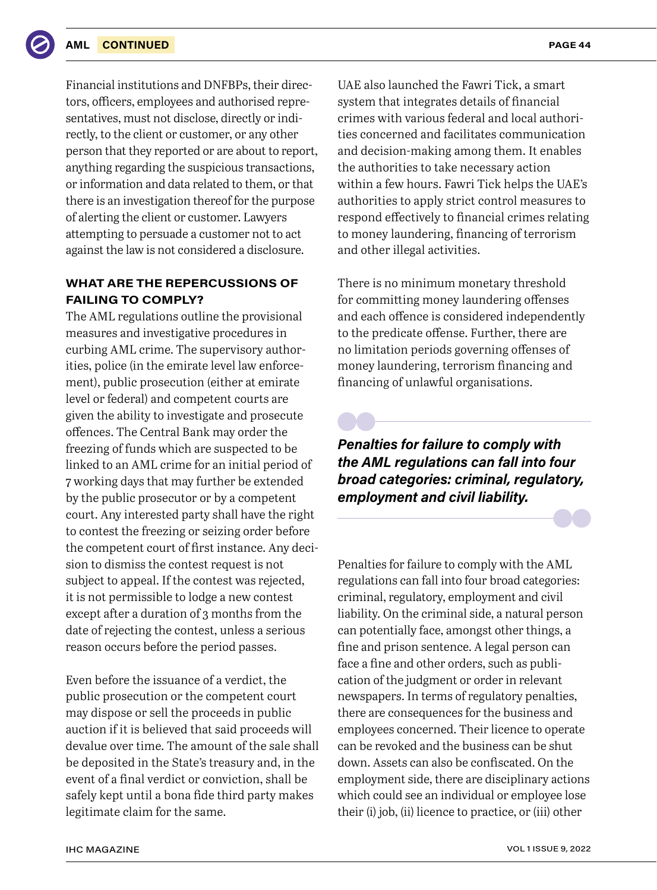Financial institutions and DNFBPs, their directors, officers, employees and authorised representatives, must not disclose, directly or indirectly, to the client or customer, or any other person that they reported or are about to report, anything regarding the suspicious transactions, or information and data related to them, or that there is an investigation thereof for the purpose of alerting the client or customer. Lawyers attempting to persuade a customer not to act against the law is not considered a disclosure.

# **WHAT ARE THE REPERCUSSIONS OF FAILING TO COMPLY?**

The AML regulations outline the provisional measures and investigative procedures in curbing AML crime. The supervisory authorities, police (in the emirate level law enforcement), public prosecution (either at emirate level or federal) and competent courts are given the ability to investigate and prosecute offences. The Central Bank may order the freezing of funds which are suspected to be linked to an AML crime for an initial period of 7 working days that may further be extended by the public prosecutor or by a competent court. Any interested party shall have the right to contest the freezing or seizing order before the competent court of first instance. Any decision to dismiss the contest request is not subject to appeal. If the contest was rejected, it is not permissible to lodge a new contest except after a duration of 3 months from the date of rejecting the contest, unless a serious reason occurs before the period passes.

Even before the issuance of a verdict, the public prosecution or the competent court may dispose or sell the proceeds in public auction if it is believed that said proceeds will devalue over time. The amount of the sale shall be deposited in the State's treasury and, in the event of a final verdict or conviction, shall be safely kept until a bona fide third party makes legitimate claim for the same.

UAE also launched the Fawri Tick, a smart system that integrates details of financial crimes with various federal and local authorities concerned and facilitates communication and decision-making among them. It enables the authorities to take necessary action within a few hours. Fawri Tick helps the UAE's authorities to apply strict control measures to respond effectively to financial crimes relating to money laundering, financing of terrorism and other illegal activities.

There is no minimum monetary threshold for committing money laundering offenses and each offence is considered independently to the predicate offense. Further, there are no limitation periods governing offenses of money laundering, terrorism financing and financing of unlawful organisations.

*Penalties for failure to comply with the AML regulations can fall into four broad categories: criminal, regulatory, employment and civil liability.*

Penalties for failure to comply with the AML regulations can fall into four broad categories: criminal, regulatory, employment and civil liability. On the criminal side, a natural person can potentially face, amongst other things, a fine and prison sentence. A legal person can face a fine and other orders, such as publication of the judgment or order in relevant newspapers. In terms of regulatory penalties, there are consequences for the business and employees concerned. Their licence to operate can be revoked and the business can be shut down. Assets can also be confiscated. On the employment side, there are disciplinary actions which could see an individual or employee lose their (i) job, (ii) licence to practice, or (iii) other